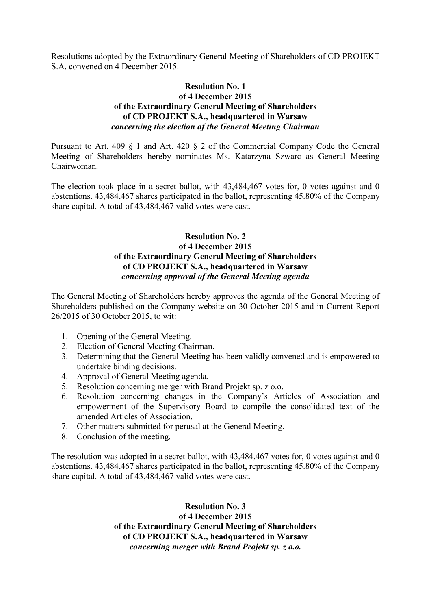Resolutions adopted by the Extraordinary General Meeting of Shareholders of CD PROJEKT S.A. convened on 4 December 2015.

## **Resolution No. 1 of 4 December 2015 of the Extraordinary General Meeting of Shareholders of CD PROJEKT S.A., headquartered in Warsaw**  *concerning the election of the General Meeting Chairman*

Pursuant to Art. 409 § 1 and Art. 420 § 2 of the Commercial Company Code the General Meeting of Shareholders hereby nominates Ms. Katarzyna Szwarc as General Meeting Chairwoman.

The election took place in a secret ballot, with 43,484,467 votes for, 0 votes against and 0 abstentions. 43,484,467 shares participated in the ballot, representing 45.80% of the Company share capital. A total of 43,484,467 valid votes were cast.

## **Resolution No. 2 of 4 December 2015 of the Extraordinary General Meeting of Shareholders of CD PROJEKT S.A., headquartered in Warsaw**  *concerning approval of the General Meeting agenda*

The General Meeting of Shareholders hereby approves the agenda of the General Meeting of Shareholders published on the Company website on 30 October 2015 and in Current Report 26/2015 of 30 October 2015, to wit:

- 1. Opening of the General Meeting.
- 2. Election of General Meeting Chairman.
- 3. Determining that the General Meeting has been validly convened and is empowered to undertake binding decisions.
- 4. Approval of General Meeting agenda.
- 5. Resolution concerning merger with Brand Projekt sp. z o.o.
- 6. Resolution concerning changes in the Company's Articles of Association and empowerment of the Supervisory Board to compile the consolidated text of the amended Articles of Association.
- 7. Other matters submitted for perusal at the General Meeting.
- 8. Conclusion of the meeting.

The resolution was adopted in a secret ballot, with 43,484,467 votes for, 0 votes against and 0 abstentions. 43,484,467 shares participated in the ballot, representing 45.80% of the Company share capital. A total of 43,484,467 valid votes were cast.

> **Resolution No. 3 of 4 December 2015 of the Extraordinary General Meeting of Shareholders of CD PROJEKT S.A., headquartered in Warsaw**  *concerning merger with Brand Projekt sp. z o.o.*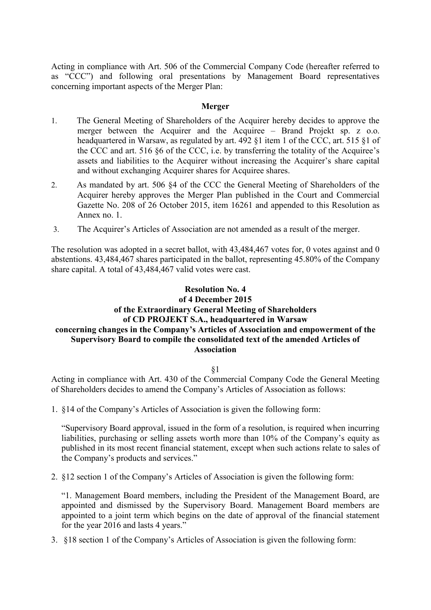Acting in compliance with Art. 506 of the Commercial Company Code (hereafter referred to as "CCC") and following oral presentations by Management Board representatives concerning important aspects of the Merger Plan:

## **Merger**

- 1. The General Meeting of Shareholders of the Acquirer hereby decides to approve the merger between the Acquirer and the Acquiree – Brand Projekt sp. z o.o. headquartered in Warsaw, as regulated by art. 492 §1 item 1 of the CCC, art. 515 §1 of the CCC and art. 516 §6 of the CCC, i.e. by transferring the totality of the Acquiree's assets and liabilities to the Acquirer without increasing the Acquirer's share capital and without exchanging Acquirer shares for Acquiree shares.
- 2. As mandated by art. 506 §4 of the CCC the General Meeting of Shareholders of the Acquirer hereby approves the Merger Plan published in the Court and Commercial Gazette No. 208 of 26 October 2015, item 16261 and appended to this Resolution as Annex no. 1.
- 3. The Acquirer's Articles of Association are not amended as a result of the merger.

The resolution was adopted in a secret ballot, with 43,484,467 votes for, 0 votes against and 0 abstentions. 43,484,467 shares participated in the ballot, representing 45.80% of the Company share capital. A total of 43,484,467 valid votes were cast.

## **Resolution No. 4 of 4 December 2015 of the Extraordinary General Meeting of Shareholders of CD PROJEKT S.A., headquartered in Warsaw concerning changes in the Company's Articles of Association and empowerment of the Supervisory Board to compile the consolidated text of the amended Articles of Association**

§1

Acting in compliance with Art. 430 of the Commercial Company Code the General Meeting of Shareholders decides to amend the Company's Articles of Association as follows:

1. §14 of the Company's Articles of Association is given the following form:

"Supervisory Board approval, issued in the form of a resolution, is required when incurring liabilities, purchasing or selling assets worth more than 10% of the Company's equity as published in its most recent financial statement, except when such actions relate to sales of the Company's products and services."

2. §12 section 1 of the Company's Articles of Association is given the following form:

"1. Management Board members, including the President of the Management Board, are appointed and dismissed by the Supervisory Board. Management Board members are appointed to a joint term which begins on the date of approval of the financial statement for the year 2016 and lasts 4 years."

3. §18 section 1 of the Company's Articles of Association is given the following form: